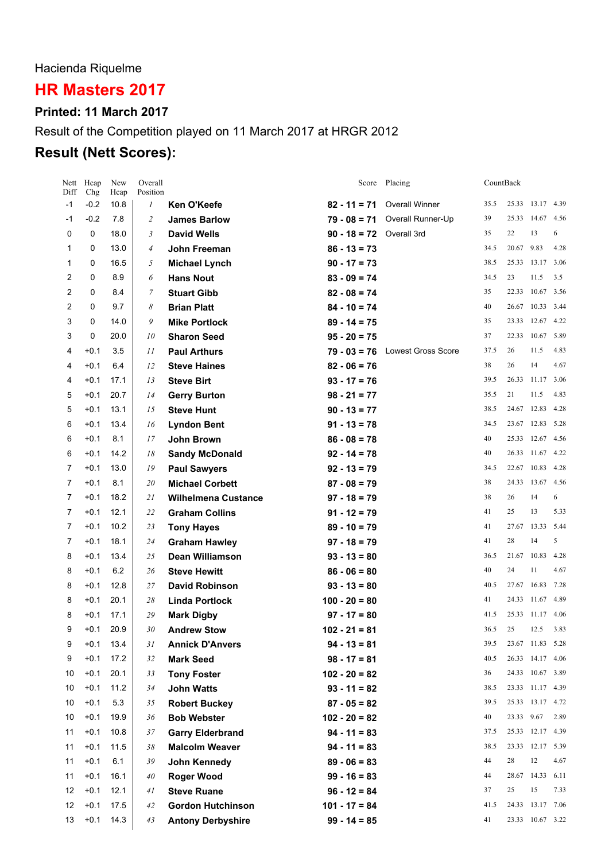Hacienda Riquelme

# **HR Masters 2017**

## **Printed: 11 March 2017**

# Result of the Competition played on 11 March 2017 at HRGR 2012

# **Result (Nett Scores):**

| Diff | Nett Hcap<br>Chg | New<br>Hcap | Overall<br>Position |                            |                 | Score Placing             | CountBack |             |                  |      |
|------|------------------|-------------|---------------------|----------------------------|-----------------|---------------------------|-----------|-------------|------------------|------|
| $-1$ | $-0.2$           | 10.8        | $\boldsymbol{l}$    | Ken O'Keefe                | $82 - 11 = 71$  | <b>Overall Winner</b>     | 35.5      |             | 25.33 13.17      | 4.39 |
| -1   | $-0.2$           | 7.8         | 2                   | <b>James Barlow</b>        | $79 - 08 = 71$  | Overall Runner-Up         | 39        |             | 25.33 14.67      | 4.56 |
| 0    | 0                | 18.0        | 3                   | <b>David Wells</b>         | $90 - 18 = 72$  | Overall 3rd               | 35        | 22          | 13               | 6    |
| 1    | 0                | 13.0        | 4                   | John Freeman               | $86 - 13 = 73$  |                           | 34.5      | 20.67       | 9.83             | 4.28 |
| 1    | 0                | 16.5        | 5                   | <b>Michael Lynch</b>       | $90 - 17 = 73$  |                           | 38.5      |             | 25.33 13.17      | 3.06 |
| 2    | 0                | 8.9         | 6                   | <b>Hans Nout</b>           | $83 - 09 = 74$  |                           | 34.5      | 23          | 11.5             | 3.5  |
| 2    | 0                | 8.4         | 7                   | <b>Stuart Gibb</b>         | $82 - 08 = 74$  |                           | 35        |             | 22.33 10.67      | 3.56 |
| 2    | 0                | 9.7         | 8                   | <b>Brian Platt</b>         | $84 - 10 = 74$  |                           | 40        | 26.67       | 10.33            | 3.44 |
| 3    | 0                | 14.0        | 9                   | <b>Mike Portlock</b>       | $89 - 14 = 75$  |                           | 35        | 23.33       | 12.67            | 4.22 |
| 3    | 0                | 20.0        | 10                  | <b>Sharon Seed</b>         | $95 - 20 = 75$  |                           | 37        |             | 22.33 10.67      | 5.89 |
| 4    | $+0.1$           | 3.5         | 11                  | <b>Paul Arthurs</b>        | $79 - 03 = 76$  | <b>Lowest Gross Score</b> | 37.5      | 26          | 11.5             | 4.83 |
| 4    | $+0.1$           | 6.4         | 12                  | <b>Steve Haines</b>        | $82 - 06 = 76$  |                           | 38        | 26          | 14               | 4.67 |
| 4    | $+0.1$           | 17.1        | 13                  | <b>Steve Birt</b>          | $93 - 17 = 76$  |                           | 39.5      |             | 26.33 11.17      | 3.06 |
| 5    | $+0.1$           | 20.7        | 14                  | <b>Gerry Burton</b>        | $98 - 21 = 77$  |                           | 35.5      | 21          | 11.5             | 4.83 |
| 5    | $+0.1$           | 13.1        | 15                  | <b>Steve Hunt</b>          | $90 - 13 = 77$  |                           | 38.5      |             | 24.67 12.83      | 4.28 |
| 6    | $+0.1$           | 13.4        | 16                  | <b>Lyndon Bent</b>         | $91 - 13 = 78$  |                           | 34.5      |             | 23.67 12.83      | 5.28 |
| 6    | $+0.1$           | 8.1         | 17                  | John Brown                 | $86 - 08 = 78$  |                           | 40        |             | 25.33 12.67      | 4.56 |
| 6    | $+0.1$           | 14.2        | 18                  | <b>Sandy McDonald</b>      | $92 - 14 = 78$  |                           | 40        | 26.33       | 11.67            | 4.22 |
| 7    | $+0.1$           | 13.0        | 19                  | <b>Paul Sawyers</b>        | $92 - 13 = 79$  |                           | 34.5      | 22.67       | 10.83            | 4.28 |
| 7    | $+0.1$           | 8.1         | 20                  | <b>Michael Corbett</b>     | $87 - 08 = 79$  |                           | 38        |             | 24.33 13.67      | 4.56 |
| 7    | $+0.1$           | 18.2        | 21                  | <b>Wilhelmena Custance</b> | $97 - 18 = 79$  |                           | 38        | 26          | 14               | 6    |
| 7    | $+0.1$           | 12.1        | 22                  | <b>Graham Collins</b>      | $91 - 12 = 79$  |                           | 41        | 25          | 13               | 5.33 |
| 7    | $+0.1$           | 10.2        | 23                  | <b>Tony Hayes</b>          | $89 - 10 = 79$  |                           | 41        |             | 27.67 13.33      | 5.44 |
| 7    | $+0.1$           | 18.1        | 24                  | <b>Graham Hawley</b>       | $97 - 18 = 79$  |                           | 41        | 28          | 14               | 5    |
| 8    | $+0.1$           | 13.4        | 25                  | <b>Dean Williamson</b>     | $93 - 13 = 80$  |                           | 36.5      |             | 21.67 10.83      | 4.28 |
| 8    | $+0.1$           | 6.2         | 26                  | <b>Steve Hewitt</b>        | $86 - 06 = 80$  |                           | 40        | 24          | 11               | 4.67 |
| 8    | $+0.1$           | 12.8        | 27                  | <b>David Robinson</b>      | $93 - 13 = 80$  |                           | 40.5      | 27.67       | 16.83            | 7.28 |
| 8    | $+0.1$           | 20.1        | 28                  | <b>Linda Portlock</b>      | $100 - 20 = 80$ |                           | 41        | 24.33       | 11.67            | 4.89 |
| 8    | $+0.1$           | 17.1        | 29                  | <b>Mark Digby</b>          | $97 - 17 = 80$  |                           | 41.5      | 25.33 11.17 |                  | 4.06 |
| 9    | $+0.1$           | 20.9        | 30                  | <b>Andrew Stow</b>         | $102 - 21 = 81$ |                           | 36.5      | 25          | 12.5             | 3.83 |
| 9    | $+0.1$           | 13.4        | 31                  | <b>Annick D'Anvers</b>     | $94 - 13 = 81$  |                           | 39.5      |             | 23.67 11.83 5.28 |      |
| 9    | $+0.1$           | 17.2        | 32                  | <b>Mark Seed</b>           | $98 - 17 = 81$  |                           | 40.5      |             | 26.33 14.17 4.06 |      |
| 10   | $+0.1$           | 20.1        | 33                  | <b>Tony Foster</b>         | $102 - 20 = 82$ |                           | 36        |             | 24.33 10.67 3.89 |      |
| 10   | $+0.1$           | 11.2        | 34                  | <b>John Watts</b>          | $93 - 11 = 82$  |                           | 38.5      |             | 23.33 11.17 4.39 |      |
| 10   | $+0.1$           | 5.3         | 35                  | <b>Robert Buckey</b>       | $87 - 05 = 82$  |                           | 39.5      |             | 25.33 13.17 4.72 |      |
| 10   | $+0.1$           | 19.9        | 36                  | <b>Bob Webster</b>         | $102 - 20 = 82$ |                           | 40        | 23.33 9.67  |                  | 2.89 |
| 11   | $+0.1$           | 10.8        | 37                  | <b>Garry Elderbrand</b>    | $94 - 11 = 83$  |                           | 37.5      |             | 25.33 12.17 4.39 |      |
| 11   | $+0.1$           | 11.5        | 38                  | <b>Malcolm Weaver</b>      | $94 - 11 = 83$  |                           | 38.5      |             | 23.33 12.17 5.39 |      |
| 11   | $+0.1$           | 6.1         | 39                  | John Kennedy               | $89 - 06 = 83$  |                           | 44        | 28          | 12               | 4.67 |
| 11   | $+0.1$           | 16.1        | 40                  | <b>Roger Wood</b>          | $99 - 16 = 83$  |                           | 44        |             | 28.67 14.33 6.11 |      |
| 12   | $+0.1$           | 12.1        | 41                  | <b>Steve Ruane</b>         | $96 - 12 = 84$  |                           | 37        | 25          | 15               | 7.33 |
| 12   | $+0.1$           | 17.5        | 42                  | <b>Gordon Hutchinson</b>   | $101 - 17 = 84$ |                           | 41.5      |             | 24.33 13.17 7.06 |      |
| 13   | $+0.1$           | 14.3        | 43                  | <b>Antony Derbyshire</b>   | $99 - 14 = 85$  |                           | 41        |             | 23.33 10.67 3.22 |      |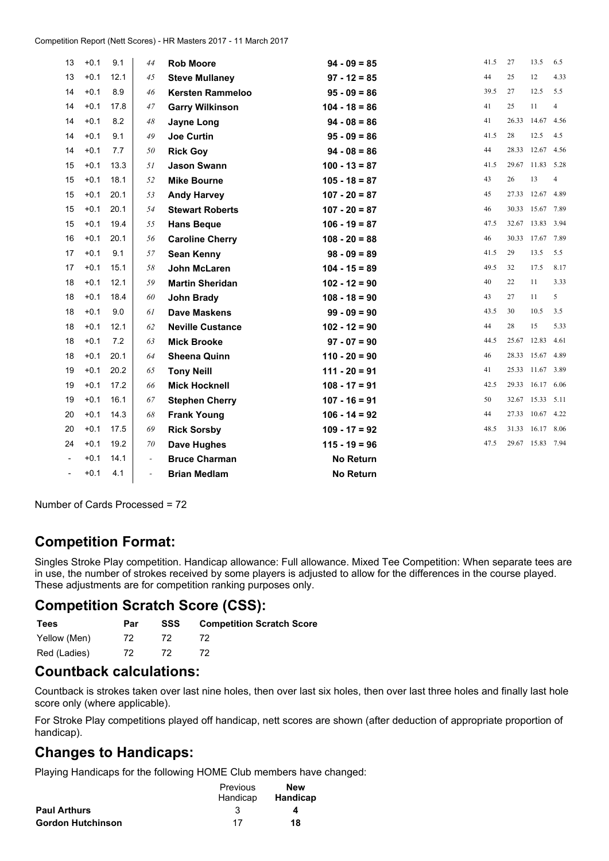| 13                       | $+0.1$ | 9.1  | 44                       | <b>Rob Moore</b>        | $94 - 09 = 85$   | 41.5 | 27    | 13.5             | 6.5            |
|--------------------------|--------|------|--------------------------|-------------------------|------------------|------|-------|------------------|----------------|
| 13                       | $+0.1$ | 12.1 | 45                       | <b>Steve Mullaney</b>   | $97 - 12 = 85$   | 44   | 25    | 12               | 4.33           |
| 14                       | $+0.1$ | 8.9  | 46                       | <b>Kersten Rammeloo</b> | $95 - 09 = 86$   | 39.5 | 27    | 12.5             | 5.5            |
| 14                       | $+0.1$ | 17.8 | 47                       | <b>Garry Wilkinson</b>  | $104 - 18 = 86$  | 41   | 25    | 11               | $\overline{4}$ |
| 14                       | $+0.1$ | 8.2  | 48                       | Jayne Long              | $94 - 08 = 86$   | 41   |       | 26.33 14.67      | 4.56           |
| 14                       | $+0.1$ | 9.1  | 49                       | <b>Joe Curtin</b>       | $95 - 09 = 86$   | 41.5 | 28    | 12.5             | 4.5            |
| 14                       | $+0.1$ | 7.7  | 50                       | <b>Rick Goy</b>         | $94 - 08 = 86$   | 44   |       | 28.33 12.67      | 4.56           |
| 15                       | $+0.1$ | 13.3 | 51                       | <b>Jason Swann</b>      | $100 - 13 = 87$  | 41.5 |       | 29.67 11.83      | 5.28           |
| 15                       | $+0.1$ | 18.1 | 52                       | <b>Mike Bourne</b>      | $105 - 18 = 87$  | 43   | 26    | 13               | $\overline{4}$ |
| 15                       | $+0.1$ | 20.1 | 53                       | <b>Andy Harvey</b>      | $107 - 20 = 87$  | 45   |       | 27.33 12.67      | 4.89           |
| 15                       | $+0.1$ | 20.1 | 54                       | <b>Stewart Roberts</b>  | $107 - 20 = 87$  | 46   |       | 30.33 15.67      | 7.89           |
| 15                       | $+0.1$ | 19.4 | 55                       | <b>Hans Beque</b>       | $106 - 19 = 87$  | 47.5 |       | 32.67 13.83      | 3.94           |
| 16                       | $+0.1$ | 20.1 | 56                       | <b>Caroline Cherry</b>  | $108 - 20 = 88$  | 46   | 30.33 | 17.67            | 7.89           |
| 17                       | $+0.1$ | 9.1  | 57                       | <b>Sean Kenny</b>       | $98 - 09 = 89$   | 41.5 | 29    | 13.5             | 5.5            |
| 17                       | $+0.1$ | 15.1 | 58                       | John McLaren            | $104 - 15 = 89$  | 49.5 | 32    | 17.5             | 8.17           |
| 18                       | $+0.1$ | 12.1 | 59                       | <b>Martin Sheridan</b>  | $102 - 12 = 90$  | 40   | 22    | 11               | 3.33           |
| 18                       | $+0.1$ | 18.4 | 60                       | <b>John Brady</b>       | $108 - 18 = 90$  | 43   | 27    | 11               | 5              |
| 18                       | $+0.1$ | 9.0  | 61                       | <b>Dave Maskens</b>     | $99 - 09 = 90$   | 43.5 | 30    | 10.5             | 3.5            |
| 18                       | $+0.1$ | 12.1 | 62                       | <b>Neville Custance</b> | $102 - 12 = 90$  | 44   | 28    | 15               | 5.33           |
| 18                       | $+0.1$ | 7.2  | 63                       | <b>Mick Brooke</b>      | $97 - 07 = 90$   | 44.5 | 25.67 | 12.83            | 4.61           |
| 18                       | $+0.1$ | 20.1 | 64                       | <b>Sheena Quinn</b>     | $110 - 20 = 90$  | 46   |       | 28.33 15.67      | 4.89           |
| 19                       | $+0.1$ | 20.2 | 65                       | <b>Tony Neill</b>       | $111 - 20 = 91$  | 41   |       | 25.33 11.67 3.89 |                |
| 19                       | $+0.1$ | 17.2 | 66                       | <b>Mick Hocknell</b>    | $108 - 17 = 91$  | 42.5 |       | 29.33 16.17      | 6.06           |
| 19                       | $+0.1$ | 16.1 | 67                       | <b>Stephen Cherry</b>   | $107 - 16 = 91$  | 50   |       | 32.67 15.33 5.11 |                |
| 20                       | $+0.1$ | 14.3 | 68                       | <b>Frank Young</b>      | $106 - 14 = 92$  | 44   |       | 27.33 10.67      | 4.22           |
| 20                       | $+0.1$ | 17.5 | 69                       | <b>Rick Sorsby</b>      | $109 - 17 = 92$  | 48.5 |       | 31.33 16.17      | 8.06           |
| 24                       | $+0.1$ | 19.2 | 70                       | <b>Dave Hughes</b>      | $115 - 19 = 96$  | 47.5 |       | 29.67 15.83 7.94 |                |
|                          | $+0.1$ | 14.1 | $\overline{\phantom{a}}$ | <b>Bruce Charman</b>    | <b>No Return</b> |      |       |                  |                |
| $\overline{\phantom{0}}$ | $+0.1$ | 4.1  | $\overline{\phantom{0}}$ | <b>Brian Medlam</b>     | <b>No Return</b> |      |       |                  |                |

Number of Cards Processed <sup>=</sup> 72

## **Competition Format:**

Singles Stroke Play competition. Handicap allowance: Full allowance. Mixed Tee Competition: When separate tees are in use, the number of strokes received by some players is adjusted to allow for the differences in the course played. These adjustments are for competition ranking purposes only.

#### **Competition Scratch Score (CSS):**

| Tees         | Par | SSS | <b>Competition Scratch Score</b> |
|--------------|-----|-----|----------------------------------|
| Yellow (Men) | 72. | 72. |                                  |
| Red (Ladies) | 72. | 72. |                                  |

### **Countback calculations:**

Countback is strokes taken over last nine holes, then over last six holes, then over last three holes and finally last hole score only (where applicable).

For Stroke Play competitions played off handicap, nett scores are shown (after deduction of appropriate proportion of handicap).

#### **Changes to Handicaps:**

Playing Handicaps for the following HOME Club members have changed:

|                          | Previous | <b>New</b>      |  |  |
|--------------------------|----------|-----------------|--|--|
|                          | Handicap | <b>Handicap</b> |  |  |
| <b>Paul Arthurs</b>      |          | 4               |  |  |
| <b>Gordon Hutchinson</b> | 17       | 18              |  |  |